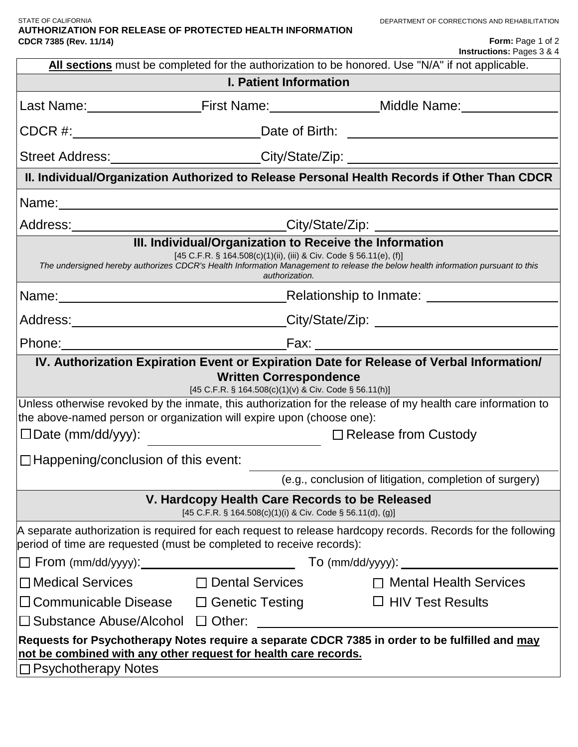#### STATE OF CALIFORNIA **AUTHORIZATION FOR RELEASE OF PROTECTED HEALTH INFORMATION CDCR 7385 (Rev. 11/14)**

| Form: Page 1 of 2                    |
|--------------------------------------|
| <b>Instructions: Pages 3 &amp; 4</b> |

| All sections must be completed for the authorization to be honored. Use "N/A" if not applicable.                                                                                                                                                                                                                                                                           |                                                                                                                                                                                                                                |  |
|----------------------------------------------------------------------------------------------------------------------------------------------------------------------------------------------------------------------------------------------------------------------------------------------------------------------------------------------------------------------------|--------------------------------------------------------------------------------------------------------------------------------------------------------------------------------------------------------------------------------|--|
| <b>I. Patient Information</b>                                                                                                                                                                                                                                                                                                                                              |                                                                                                                                                                                                                                |  |
|                                                                                                                                                                                                                                                                                                                                                                            | Last Name: _________________________First Name: ___________________Middle Name: ___________________                                                                                                                            |  |
| CDCR #: __________________________________Date of Birth: _______________________                                                                                                                                                                                                                                                                                           |                                                                                                                                                                                                                                |  |
|                                                                                                                                                                                                                                                                                                                                                                            | Street Address:______________________City/State/Zip: ___________________________                                                                                                                                               |  |
| II. Individual/Organization Authorized to Release Personal Health Records if Other Than CDCR                                                                                                                                                                                                                                                                               |                                                                                                                                                                                                                                |  |
|                                                                                                                                                                                                                                                                                                                                                                            |                                                                                                                                                                                                                                |  |
|                                                                                                                                                                                                                                                                                                                                                                            | Address:________________________________City/State/Zip: ________________________                                                                                                                                               |  |
| III. Individual/Organization to Receive the Information<br>[45 C.F.R. § 164.508(c)(1)(ii), (iii) & Civ. Code § 56.11(e), (f)]<br>The undersigned hereby authorizes CDCR's Health Information Management to release the below health information pursuant to this<br>authorization.                                                                                         |                                                                                                                                                                                                                                |  |
|                                                                                                                                                                                                                                                                                                                                                                            | Name: Name: Name: Name: Name: Name: Name: Name: Name: Name: Name: Name: Name: Name: Name: Name: Name: Name: Name: Name: Name: Name: Name: Name: Name: Name: Name: Name: Name: Name: Name: Name: Name: Name: Name: Name: Name:  |  |
|                                                                                                                                                                                                                                                                                                                                                                            | Address: _______________________________City/State/Zip: ________________________                                                                                                                                               |  |
|                                                                                                                                                                                                                                                                                                                                                                            | Phone: Fax: Fax: Fax: Fax: Fax: Fax: Thome: Fax: The Manuscript: The Manuscript: The Manuscript: The Manuscript: The Manuscript: The Manuscript: The Manuscript: The Manuscript: The Manuscript: The Manuscript: The Manuscrip |  |
| IV. Authorization Expiration Event or Expiration Date for Release of Verbal Information/<br><b>Written Correspondence</b><br>[45 C.F.R. § 164.508(c)(1)(v) & Civ. Code § 56.11(h)]<br>Unless otherwise revoked by the inmate, this authorization for the release of my health care information to<br>the above-named person or organization will expire upon (choose one): |                                                                                                                                                                                                                                |  |
|                                                                                                                                                                                                                                                                                                                                                                            | □Date (mm/dd/yyy):<br>□ Release from Custody                                                                                                                                                                                   |  |
| $\Box$ Happening/conclusion of this event:                                                                                                                                                                                                                                                                                                                                 |                                                                                                                                                                                                                                |  |
|                                                                                                                                                                                                                                                                                                                                                                            | (e.g., conclusion of litigation, completion of surgery)                                                                                                                                                                        |  |
| V. Hardcopy Health Care Records to be Released<br>[45 C.F.R. § 164.508(c)(1)(i) & Civ. Code § 56.11(d), (g)]                                                                                                                                                                                                                                                               |                                                                                                                                                                                                                                |  |
| A separate authorization is required for each request to release hardcopy records. Records for the following<br>period of time are requested (must be completed to receive records):                                                                                                                                                                                       |                                                                                                                                                                                                                                |  |
|                                                                                                                                                                                                                                                                                                                                                                            |                                                                                                                                                                                                                                |  |
| $\Box$ Medical Services                                                                                                                                                                                                                                                                                                                                                    | $\Box$ Dental Services<br>$\Box$ Mental Health Services                                                                                                                                                                        |  |
| □ Communicable Disease □ Genetic Testing                                                                                                                                                                                                                                                                                                                                   | $\Box$ HIV Test Results                                                                                                                                                                                                        |  |
| $\Box$ Substance Abuse/Alcohol $\Box$ Other:                                                                                                                                                                                                                                                                                                                               |                                                                                                                                                                                                                                |  |
| Requests for Psychotherapy Notes require a separate CDCR 7385 in order to be fulfilled and may<br>not be combined with any other request for health care records.<br>□ Psychotherapy Notes                                                                                                                                                                                 |                                                                                                                                                                                                                                |  |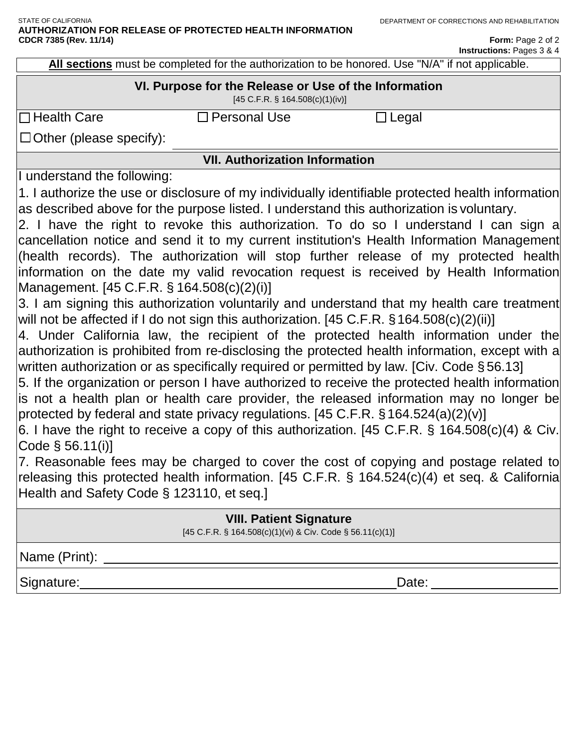Form: Page 2 of 2 **Instructions:** Pages 3 & 4

**All sections** must be completed for the authorization to be honored. Use "N/A" if not applicable.

# **VI. Purpose for the Release or Use of the Information**

[45 C.F.R. § 164.508(c)(1)(iv)]

 $\Box$  Health Care  $\Box$  Personal Use  $\Box$  Legal

 $\Box$  Other (please specify):

**VII. Authorization Information** 

I understand the following:

1. I authorize the use or disclosure of my individually identifiable protected health information as described above for the purpose listed. I understand this authorization is voluntary.

2. I have the right to revoke this authorization. To do so I understand I can sign a cancellation notice and send it to my current institution's Health Information Management (health records). The authorization will stop further release of my protected health information on the date my valid revocation request is received by Health Information Management. [45 C.F.R. § 164.508(c)(2)(i)]

3. I am signing this authorization voluntarily and understand that my health care treatment will not be affected if I do not sign this authorization. [45 C.F.R. § 164.508(c)(2)(ii)]

4. Under California law, the recipient of the protected health information under the authorization is prohibited from re-disclosing the protected health information, except with a written authorization or as specifically required or permitted by law. [Civ. Code § 56.13]

5. If the organization or person I have authorized to receive the protected health information is not a health plan or health care provider, the released information may no longer be protected by federal and state privacy regulations. [45 C.F.R. §164.524(a)(2)(v)]

6. I have the right to receive a copy of this authorization. [45 C.F.R. § 164.508(c)(4) & Civ. Code § 56.11(i)]

7. Reasonable fees may be charged to cover the cost of copying and postage related to releasing this protected health information. [45 C.F.R. § 164.524(c)(4) et seq. & California Health and Safety Code § 123110, et seq.]

## **VIII. Patient Signature**

[45 C.F.R. § 164.508(c)(1)(vi) & Civ. Code § 56.11(c)(1)]

Name (Print):

Signature: Date: Date: Date: Date: Date: Date: Date: Date: Date: Date: Date: Date: Date: Date: Date: Date: Date:  $\Box$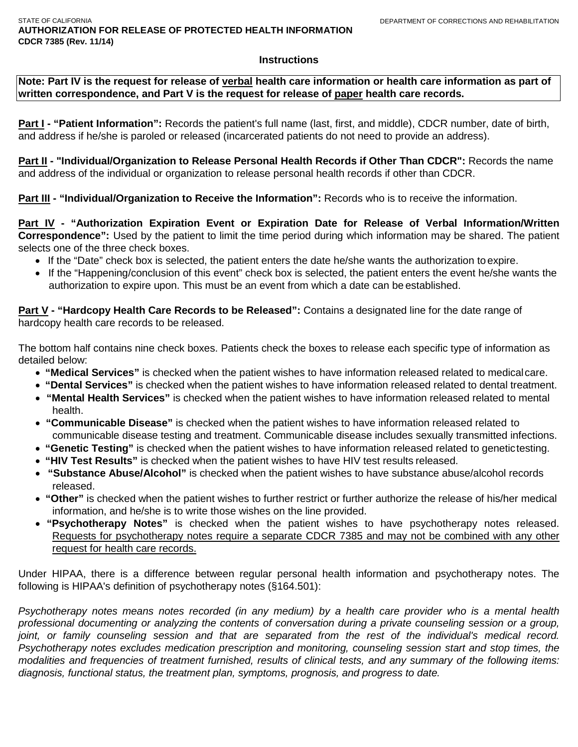#### **Instructions**

**Note: Part IV is the request for release of verbal health care information or health care information as part of written correspondence, and Part V is the request for release of paper health care records.**

**Part I - "Patient Information":** Records the patient's full name (last, first, and middle), CDCR number, date of birth, and address if he/she is paroled or released (incarcerated patients do not need to provide an address).

Part II - "Individual/Organization to Release Personal Health Records if Other Than CDCR": Records the name and address of the individual or organization to release personal health records if other than CDCR.

**Part III - "Individual/Organization to Receive the Information": Records who is to receive the information.** 

**Part IV - "Authorization Expiration Event or Expiration Date for Release of Verbal Information/Written Correspondence":** Used by the patient to limit the time period during which information may be shared. The patient selects one of the three check boxes.

- If the "Date" check box is selected, the patient enters the date he/she wants the authorization toexpire.
- If the "Happening/conclusion of this event" check box is selected, the patient enters the event he/she wants the authorization to expire upon. This must be an event from which a date can be established.

**Part V** - "Hardcopy Health Care Records to be Released": Contains a designated line for the date range of hardcopy health care records to be released.

The bottom half contains nine check boxes. Patients check the boxes to release each specific type of information as detailed below:

- **"Medical Services"** is checked when the patient wishes to have information released related to medicalcare.
- **"Dental Services"** is checked when the patient wishes to have information released related to dental treatment.
- **"Mental Health Services"** is checked when the patient wishes to have information released related to mental health.
- **"Communicable Disease"** is checked when the patient wishes to have information released related to communicable disease testing and treatment. Communicable disease includes sexually transmitted infections.
- **"Genetic Testing"** is checked when the patient wishes to have information released related to genetictesting.
- **"HIV Test Results"** is checked when the patient wishes to have HIV test results released.
- **"Substance Abuse/Alcohol"** is checked when the patient wishes to have substance abuse/alcohol records released.
- **"Other"** is checked when the patient wishes to further restrict or further authorize the release of his/her medical information, and he/she is to write those wishes on the line provided.
- **"Psychotherapy Notes"** is checked when the patient wishes to have psychotherapy notes released. Requests for psychotherapy notes require a separate CDCR 7385 and may not be combined with any other request for health care records.

Under HIPAA, there is a difference between regular personal health information and psychotherapy notes. The following is HIPAA's definition of psychotherapy notes (§164.501):

*Psychotherapy notes means notes recorded (in any medium) by a health care provider who is a mental health professional documenting or analyzing the contents of conversation during a private counseling session or a group,*  joint, or family counseling session and that are separated from the rest of the individual's medical record. *Psychotherapy notes excludes medication prescription and monitoring, counseling session start and stop times, the modalities and frequencies of treatment furnished, results of clinical tests, and any summary of the following items: diagnosis, functional status, the treatment plan, symptoms, prognosis, and progress to date.*